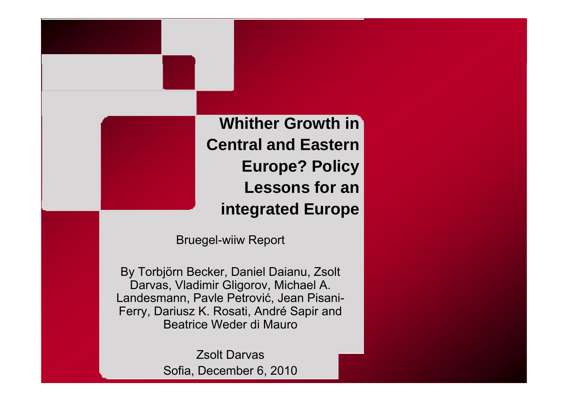**Whither Growth in Central and Eastern Europe? Policy Lessons for an integrated Europe**

Brue gel-wiiw Re port

By Torbjörn Becker, Daniel Daianu, Zsolt Darvas, Vladimir Gligorov, Michael A. Landesmann, Pavle Petrovi ć, Jean Pisani-Ferry, Dariusz K. Rosati, André Sapir and Beatrice Weder di Mauro

> Zsolt DarvasSofia, December 6, 2010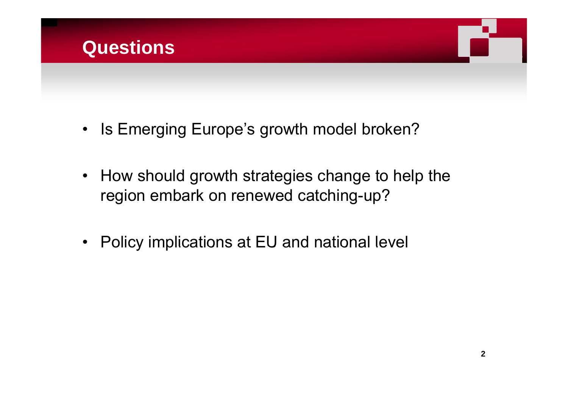

- •Is Emerging Europe's growth model broken?
- $\bullet$  How should growth strategies change to help the region embark on renewed catching-up?
- Policy implications at EU and national level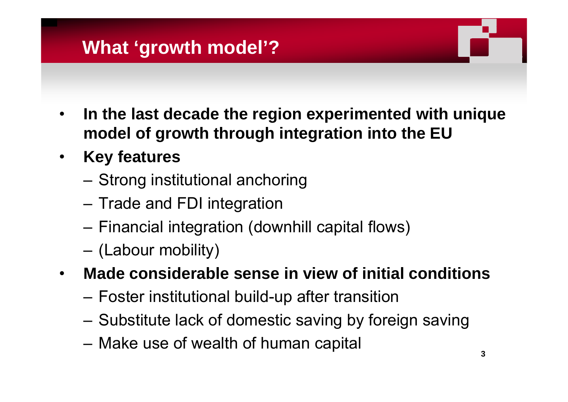# **What 'growth model'?**

- •• In the last decade the region experimented with unique **model of growth through integration into the EU**
- • **Key features**
	- Strong institutional anchoring
	- Trade and FDI integration
	- Financial integration (downhill capital flows)
	- (Labour mobility)
- $\bullet$  **Made considerable sense in view of initial conditions**
	- Foster institutional build-up after transition
	- Substitute lack of domestic saving by foreign saving
	- Make use of wealth of human capital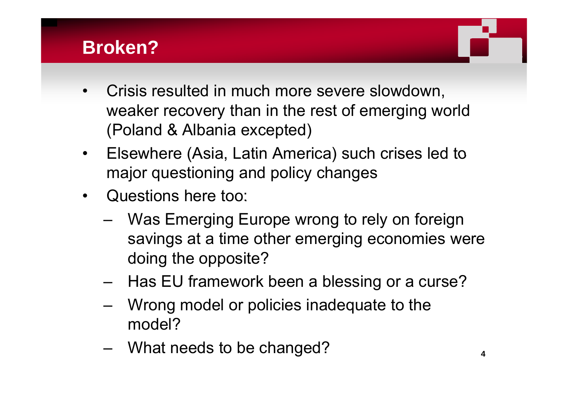# **Broken?**

- • Crisis resulted in much more severe slowdown, weaker recovery than in the rest of emerging world (Poland & Albania excepted)
- •Elsewhere (Asia, Latin America) such crises led to major questioning and policy changes
- •Questions here too:
	- – Was Emerging Europe wrong to rely on foreign savings at a time other emerging economies were doing the opposite?
	- Has EU framework been a blessing or a curse?
	- Wrong model or policies inadequate to the model?
	- What needs to be changed?  $4^2$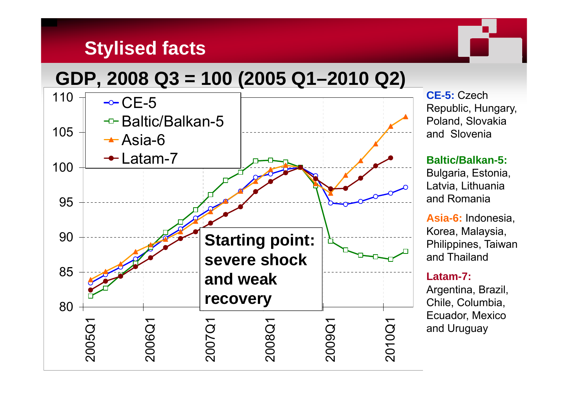# **Stylised facts**

### **GDP, 2008 Q3 = 100 (2005 Q1–2010 Q2)**



**CE-5:** Czech Republic, Hungary, Poland, Slovakia and Slovenia

#### **Baltic/Balkan-5:**

Bulgaria, Estonia, Latvia, Lithuania and Romania

**Asia-6:** Indonesia, Korea, Malaysia, and Thailand

#### **Latam-7:**

Argentina, Brazil, Chile, Columbia, Ecuador, Mexico and Uruguay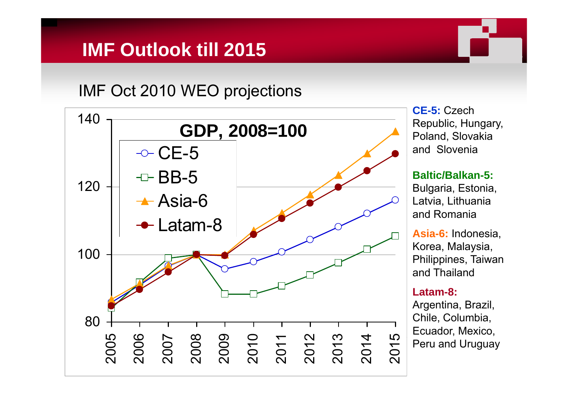# **IMF Outlook till 2015**

#### IMF Oct 2010 WEO projections



**CE-5:** CzechRepublic, Hungary, Poland, Slovakia and Slovenia

#### **Baltic/Balkan-5:**

Bulgaria, Estonia, Latvia, Lithuania

**Asia-6:** Indonesia, Korea, Malaysia, Philippines, Taiwan and Thailand

#### **Latam 8: -**

Argentina, Brazil, Chile, Columbia, Ecuador, Mexico,  $\frac{5}{5}$  Peru and Uruguay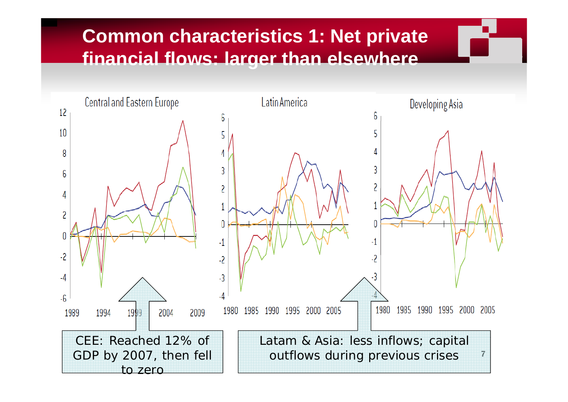# **Common characteristics 1: Net private financial flows: larger than elsewhere**

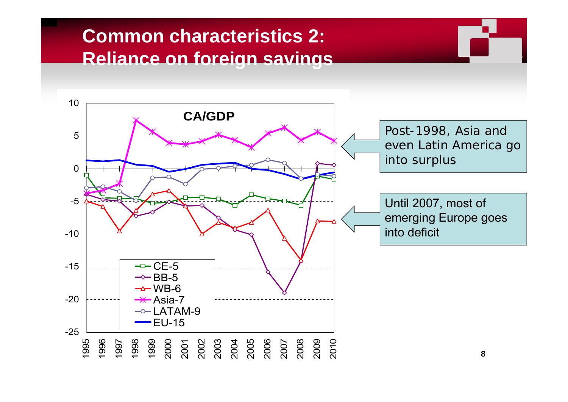# **Common characteristics 2: Reliance on foreign savings**

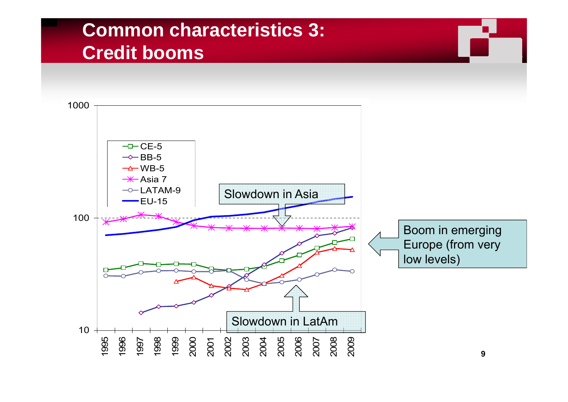# **Common characteristics 3: Credit booms**

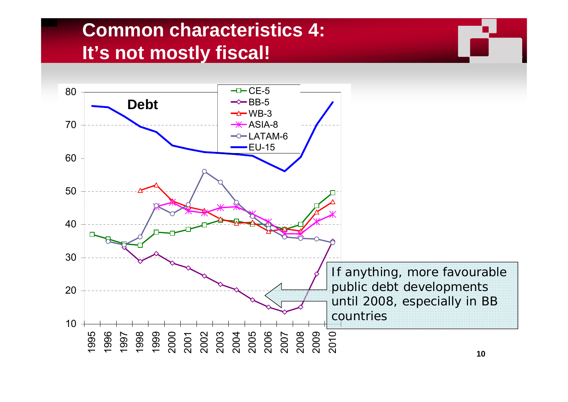# **Common characteristics 4: It's not mostly fiscal!**

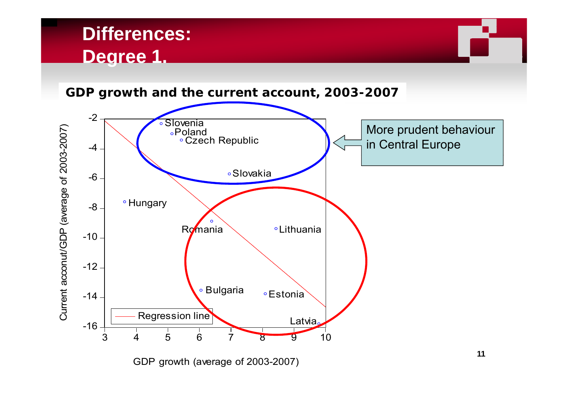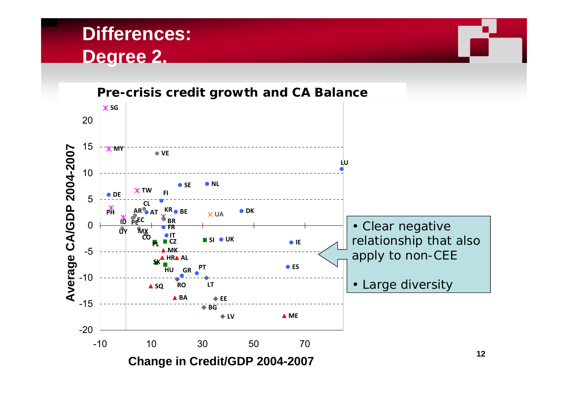# **Differences: Degree 2.**

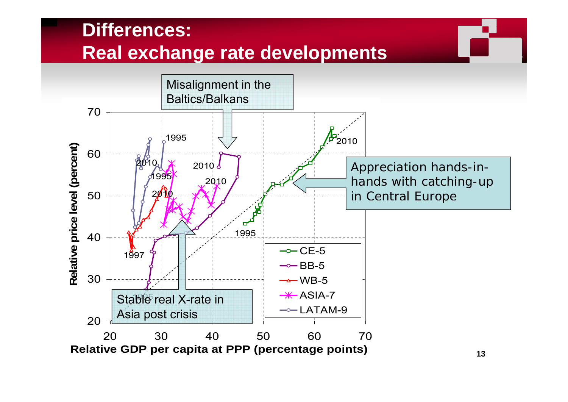# **Differences: Real exchange rate developments**

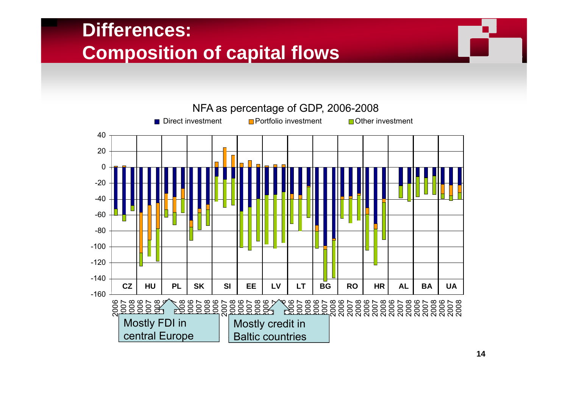# **Differences: Composition of capital flows**



**14**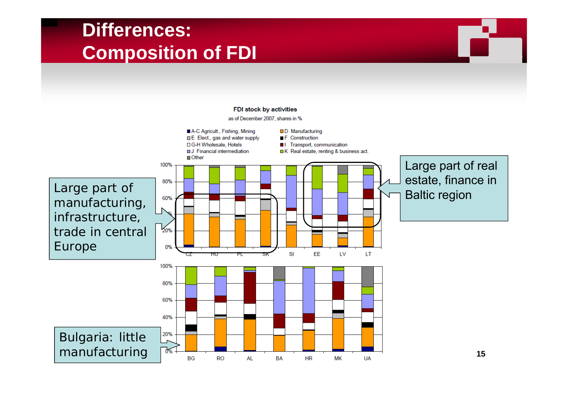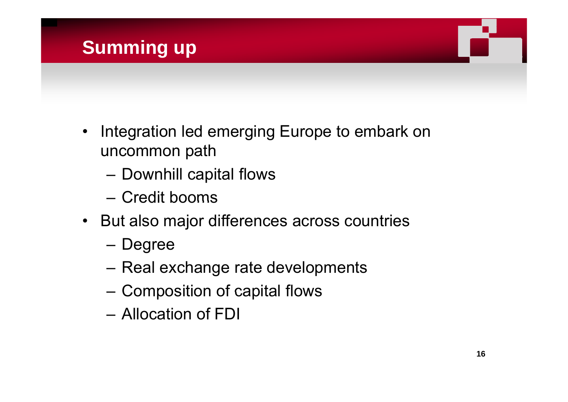# **Summing up**

- • Integration led emerging Europe to embark on uncommon path
	- –Downhill capital flows
	- Credit booms
- But also major differences across countries
	- –– Degree
	- Real exchange rate developments
	- Composition of capital flows
	- Allocation of FDI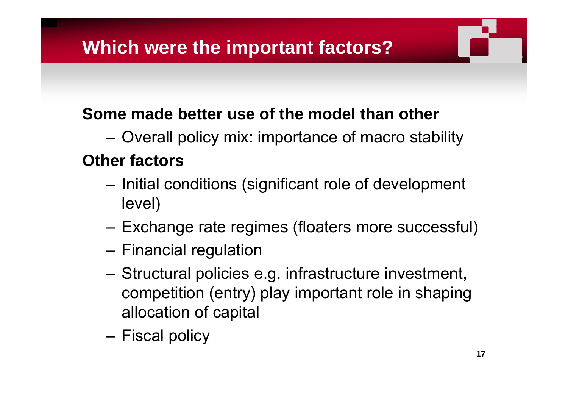# **Which were the important factors?**

#### Some made better use of the model than other

**Links of the Common** Overall policy mix: importance of macro stability

#### **Oth f t Other factors**

- – Initial conditions (significant role of development level)
- Exchange rate regimes (floaters more successful)
- Financial regulation
- Structural policies e.g. infrastructure investment, competition (entry) play important role in shaping allocation of capital
- Fiscal policy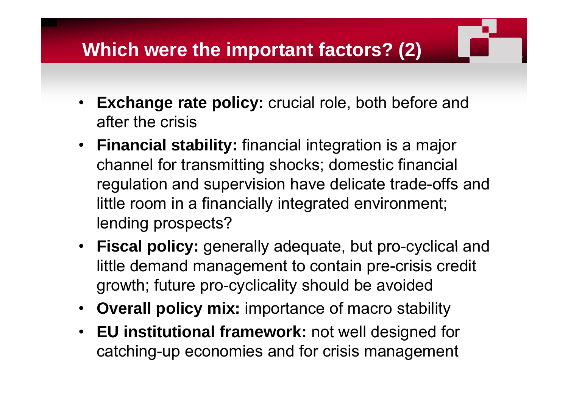# **Which were the important factors? (2)**

- •**• Exchange rate policy:** crucial role, both before and after the crisis
- **Financial stability:** financial integration is a major channel for transmitting shocks; domestic financial regulation and supervision have delicate trade-offs and little room in a financially integrated environment; lending prospects?
- $\bullet$ • Fiscal policy: generally adequate, but pro-cyclical and little demand management to contain pre-crisis credit growth; future pro-cyclicality should be avoided
- **Overall policy mix:** importance of macro stability
- EU institutional framework: not well designed for catching-up economies and for crisis management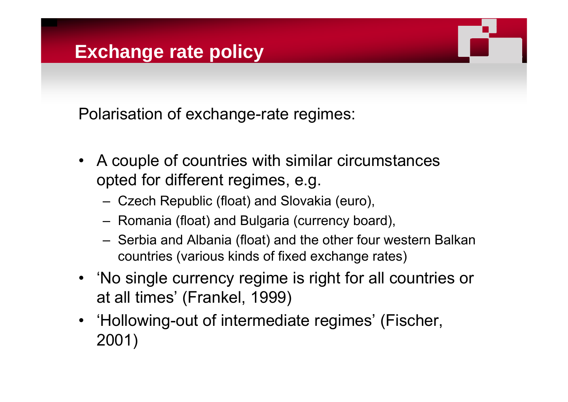#### **Exchange rate policy**

Polarisation of exchange-rate regimes:

- •• A couple of countries with similar circumstances opted for different regimes, e.g.
	- $-$  Czech Republic (float) and Slovakia (euro),
	- Romania (float) and Bulgaria (currency board),
	- Serbia and Albania (float) and the other four western Balkan countries (various kinds of fixed exchange rates)
- 'No single currency regime is right for all countries or at all times' (Frankel, 1999)
- 'Hollowing-out of intermediate regimes' (Fischer, 2001)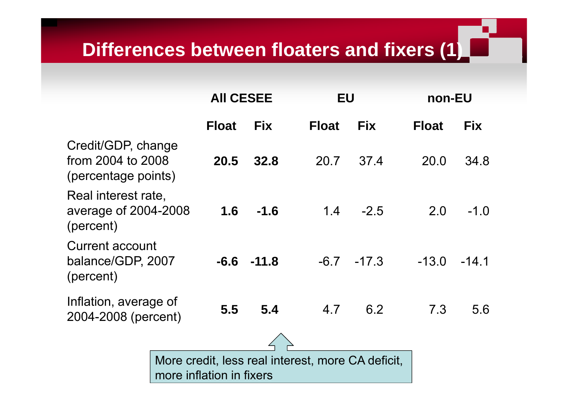# **Differences between floaters and fixers (1)**

|                                                                | <b>AII CESEE</b>                                                              |            |              | EU         |              | non-EU     |  |
|----------------------------------------------------------------|-------------------------------------------------------------------------------|------------|--------------|------------|--------------|------------|--|
|                                                                | <b>Float</b>                                                                  | <b>Fix</b> | <b>Float</b> | <b>Fix</b> | <b>Float</b> | <b>Fix</b> |  |
| Credit/GDP, change<br>from 2004 to 2008<br>(percentage points) | 20.5                                                                          | 32.8       | 20.7         | 37.4       | 20.0         | 34.8       |  |
| Real interest rate,<br>average of 2004-2008<br>(percent)       | 1.6                                                                           | $-1.6$     | 1.4          | $-2.5$     | 2.0          | $-1.0$     |  |
| Current account<br>balance/GDP, 2007<br>(percent)              | $-6.6$                                                                        | $-11.8$    | $-6.7$       | $-17.3$    | $-13.0$      | $-14.1$    |  |
| Inflation, average of<br>2004-2008 (percent)                   | 5.5                                                                           | 5.4        | 4.7          | 6.2        | 7.3          | 5.6        |  |
|                                                                |                                                                               |            |              |            |              |            |  |
|                                                                | More credit, less real interest, more CA deficit,<br>more inflation in fixers |            |              |            |              |            |  |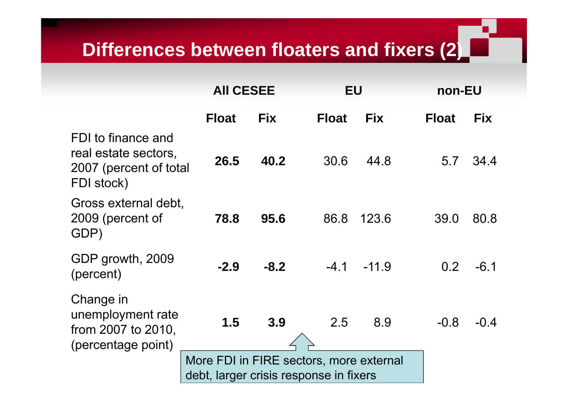# **Differences between floaters and fixers (2)**

|                                                                                    | <b>AII CESEE</b>                                                                  |            |              | <b>EU</b>  |              | non-EU     |  |
|------------------------------------------------------------------------------------|-----------------------------------------------------------------------------------|------------|--------------|------------|--------------|------------|--|
|                                                                                    | <b>Float</b>                                                                      | <b>Fix</b> | <b>Float</b> | <b>Fix</b> | <b>Float</b> | <b>Fix</b> |  |
| FDI to finance and<br>real estate sectors,<br>2007 (percent of total<br>FDI stock) | 26.5                                                                              | 40.2       | 30.6         | 44.8       | 5.7          | 34.4       |  |
| Gross external debt,<br>2009 (percent of<br>GDP)                                   | 78.8                                                                              | 95.6       | 86.8         | 123.6      | 39.0         | 80.8       |  |
| GDP growth, 2009<br>(percent)                                                      | $-2.9$                                                                            | $-8.2$     | $-4.1$       | $-11.9$    | 0.2          | $-6.1$     |  |
| Change in<br>unemployment rate<br>from 2007 to 2010,<br>(percentage point)         | 1.5                                                                               | 3.9        | 2.5          | 8.9        | $-0.8$       | $-0.4$     |  |
|                                                                                    | More FDI in FIRE sectors, more external<br>debt, larger crisis response in fixers |            |              |            |              |            |  |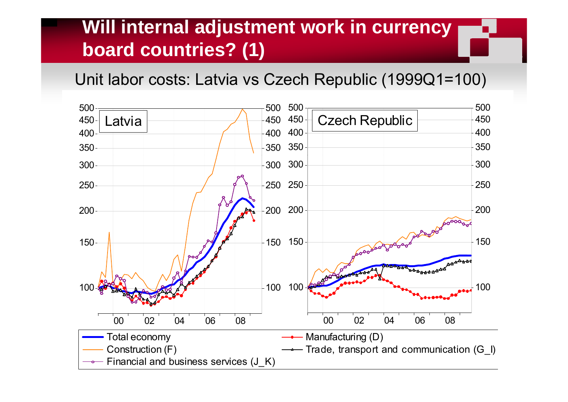# **Will internal adjustment work in currency board countries? (1)**

Unit labor costs: Latvia vs Czech Republic (1999Q1=100)

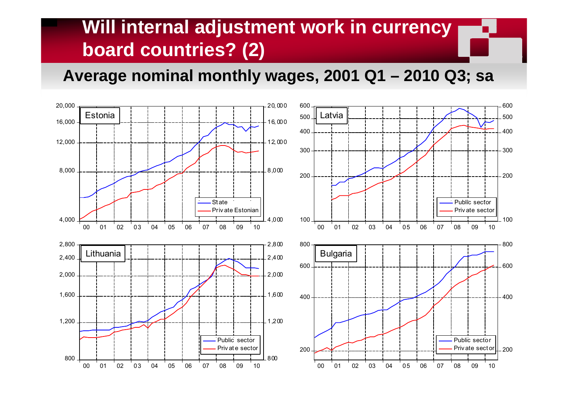# **Will internal adjustment work in currency board countries? (2)**

**Average nominal monthly wages, 2001 Q1 – 2010 Q3; sa**

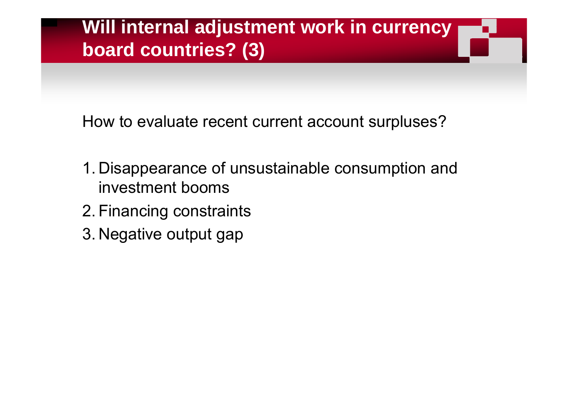# **Will internal adjustment work in currency board countries? (3)**

How to evaluate recent current account surpluses?

- 1. Disappearance of unsustainable consumption and investment booms
- 2. Financing constraints
- 3. Negative output gap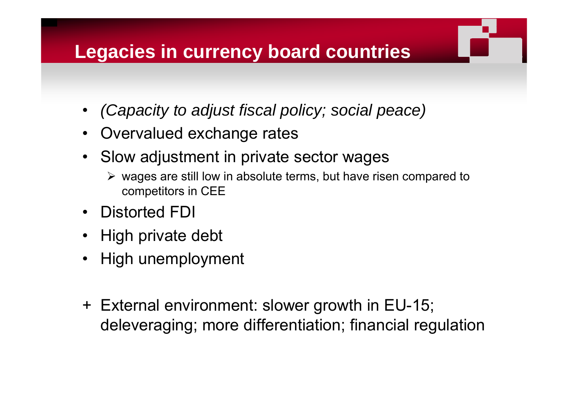### **Legacies in currency board countries**

- •*(Capacity to adjust fiscal policy; social peace)*
- •Overvalued exchange rates
- Slow adjustment in private sector wages
	- $\triangleright$  wages are still low in absolute terms, but have risen compared to competitors in CEE
- Distorted FDI
- High private debt
- High unemployment
- + External environment: slower growth in EU-15; deleveraging; more differentiation; financial regulation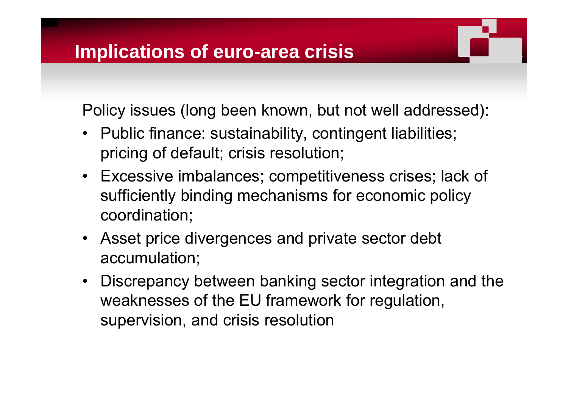#### **Implications of euro-area crisis**

Policy issues (long been known, but not well addressed):

- Public finance: sustainability, contingent liabilities; pricing of default; crisis resolution;
- Excessive imbalances; competitiveness crises; lack of sufficiently binding mechanisms for economic policy coordination;
- Asset price divergences and private sector debt accumulation;
- Discrepancy between banking sector integration and the weaknesses of the EU framework for regulation, supervision, and crisis resolution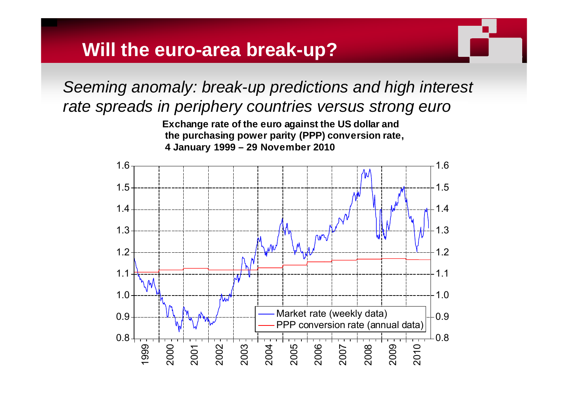#### **Will the euro-area break-up?**

*Seeming anomaly: break-up predictions and high interest rate spreads in periphery countries versus strong euro periphery euro*

> **Exchange rate of the euro against the US dollar and the purchasing power parity (PPP) conversion rate, 4 January 1999 – 29 November 2010**

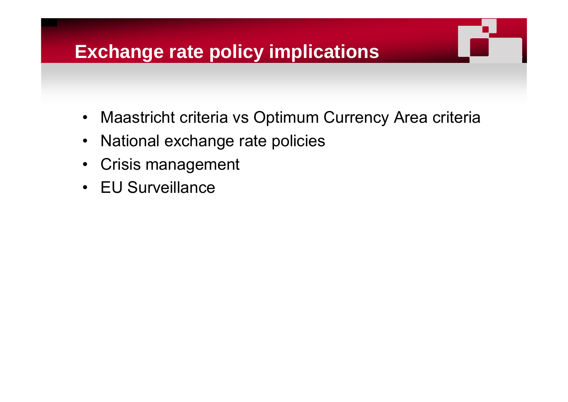### **Exchange rate policy implications**

- •Maastricht criteria vs Optimum Currency Area criteria
- $\bullet$ National exchange rate policies
- Crisis management
- EU Surveillance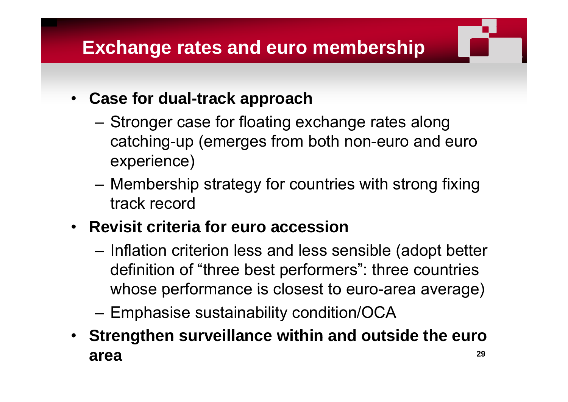# **Exchange rates and euro membership**

#### • **Case for dual-track approach**

- Stronger case for floating exchange rates along catching-up (emerges from both non-euro and euro experience)
- Membership strategy for countries with strong fixing track record-------
- **Revisit criteria for euro accession**
	- –– Inflation criterion less and less sensible (adopt better definition of "three best performers": three countries whose performance is closest to euro-area average)
	- Emphasise sustainability condition/OCA
- **Strengthen surveillance within and outside the euro area<sup>29</sup>**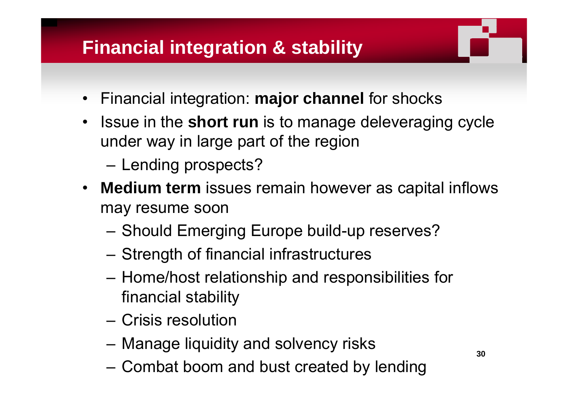# **Financial integration & stability**

- Financial integration: **major channel** for shocks
- • Issue in the **short run** is to manage deleveraging cycle under way in large part of the region
	- –Lending prospects?
- **Medium term** issues remain however as capital inflows may resume soon
	- Should Emerging Europe build-up reserves?
	- Strength of financial infrastructures
	- Home/host relationship and responsibilities for financial stability
	- Crisis resolution
	- Manage liquidity and solvency risks
	- Combat boom and bust created by lending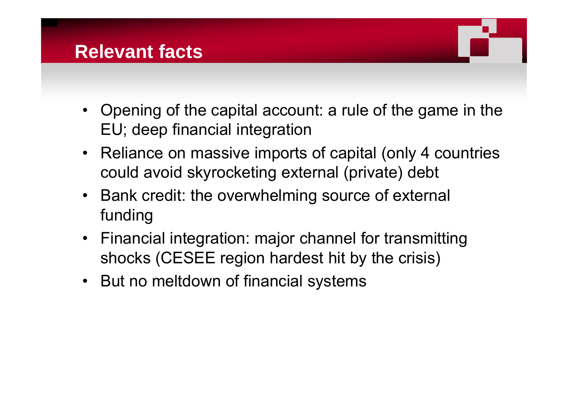#### **Relevant facts**

- Opening of the capital account: a rule of the game in the EU; deep financial integration
- Reliance on massive imports of capital (only 4 countries could avoid skyrocketing external (private) debt
- Bank credit: the overwhelming source of external funding
- $\bullet~$  Financial integration: major channel for transmitting shocks (CESEE region hardest hit by the crisis)
- But no meltdown of financial systems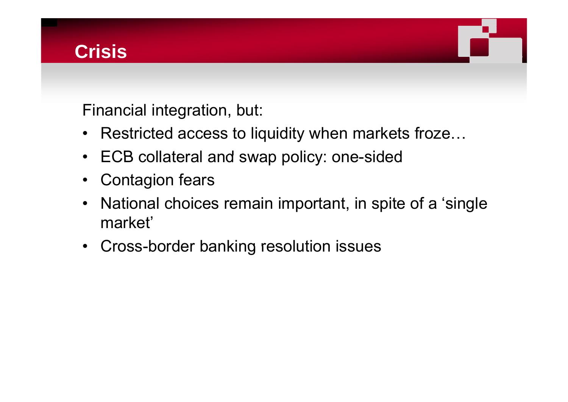# **Crisis**

Financial integration, but:

- Restricted access to liquidity when markets froze…
- ECB collateral and swap policy: one-sided
- Contagion fears
- •National choices remain important, in spite of a 'single market'
- Cross-border banking resolution issues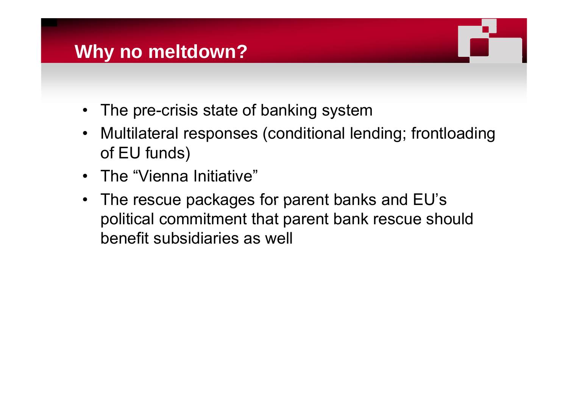#### **Why no meltdown?**

- The pre-crisis state of banking system
- • Multilateral responses (conditional lending; frontloading of EU funds)
- The "Vienna Initiative"
- The rescue packages for parent banks and  $EU$ 's political commitment that parent bank rescue should benefit subsidiaries as well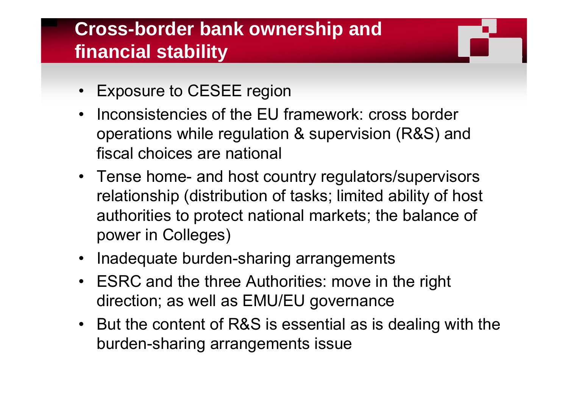# **Cross-border bank ownership and financial stability**

- $\bullet$ Exposure to CESEE region
- $\bullet$ • Inconsistencies of the EU framework: cross border operations while regulation & supervision (R&S) and fiscal choices are national
- Tense home- and host country regulators/supervisors relationship (distribution of tasks; limited ability of host authorities to protect national markets; the balance of power in Colleges)
- $\bullet$ Inadequate burden-sharing arrangements
- ESRC and the three Authorities: move in the right direction; as well as EMU/EU governance
- But the content of R&S is essential as is dealing with the burden-sharing arrangements issue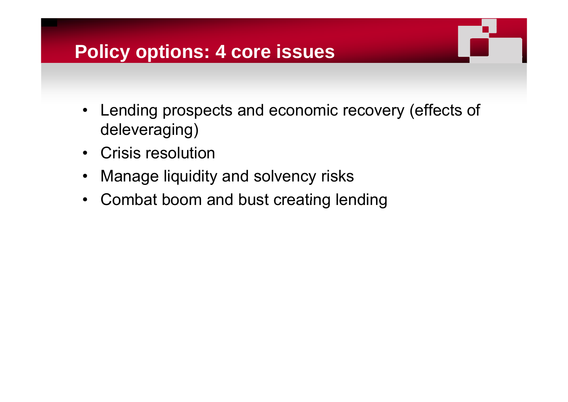#### **Policy options: 4 core issues**

- Lending prospects and economic recovery (effects of deleveraging)
- Crisis resolution
- Manage liquidity and solvency risks
- Combat boom and bust creating lending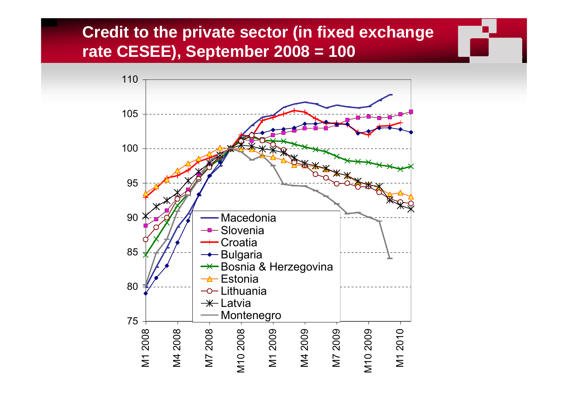#### **Credit to the private sector (in fixed exchange rate CESEE), September 2008 = 100**

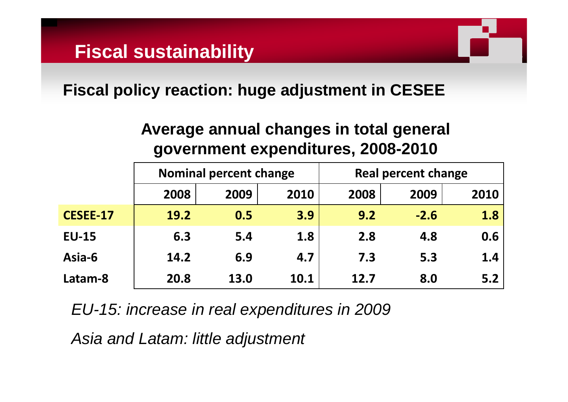### **Fiscal sustainability**

**Fiscal policy reaction: huge adjustment in CESEE**

#### **Average annual changes in total general g p, overnment ex penditures, 2008-2010**

|                 | <b>Nominal percent change</b> |      |      | Real percent change |        |      |  |
|-----------------|-------------------------------|------|------|---------------------|--------|------|--|
|                 | 2008                          | 2009 | 2010 | 2008                | 2009   | 2010 |  |
| <b>CESEE-17</b> | <b>19.2</b>                   | 0.5  | 3.9  | 9.2                 | $-2.6$ | 1.8  |  |
| <b>EU-15</b>    | 6.3                           | 5.4  | 1.8  | 2.8                 | 4.8    | 0.6  |  |
| Asia-6          | 14.2                          | 6.9  | 4.7  | 7.3                 | 5.3    | 1.4  |  |
| Latam-8         | 20.8                          | 13.0 | 10.1 | 12.7                | 8.0    | 5.2  |  |

*EU-15: increase in real expenditures in 2009*

*Asia and Latam: little adjustment Latam:*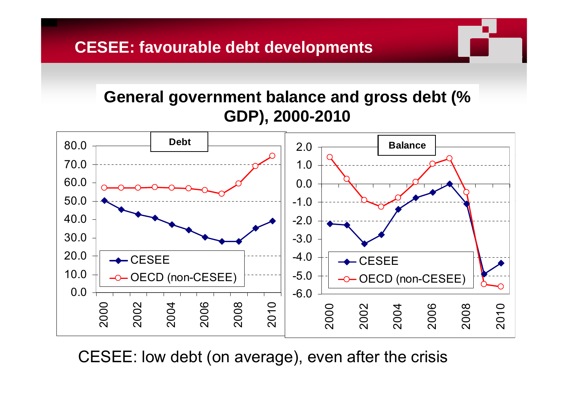#### **CESEE: favourable debt developments**

#### **General government balance and gross debt (% GDP), 2000-2010**



CESEE: low debt (on average), even after the crisis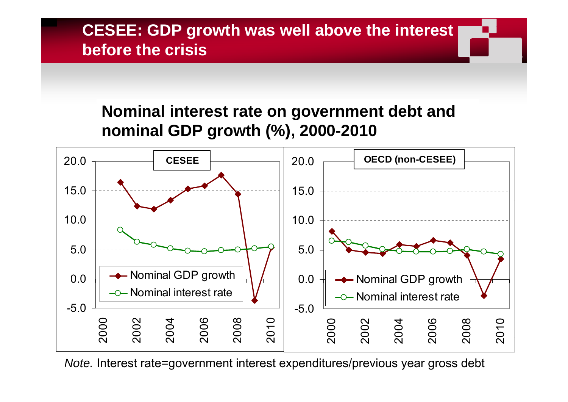#### **CESEE: GDP growth was well above the interest before the crisis**

#### **Nominal interest rate on government debt and ominal debt nominal GDP growth (%), 2000-2010**



*Note.* Interest rate=government interest expenditures/previous year gross debt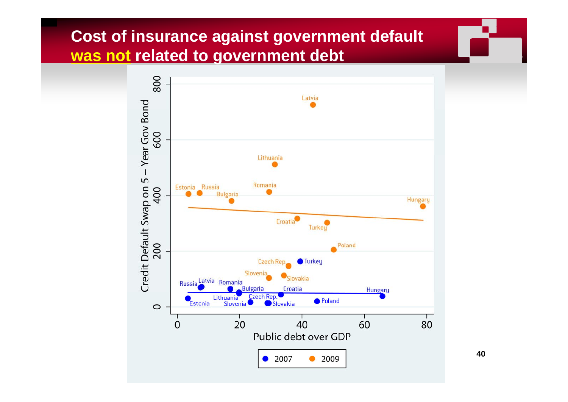#### **Cost of insurance against government default was not related to government debt**



**40**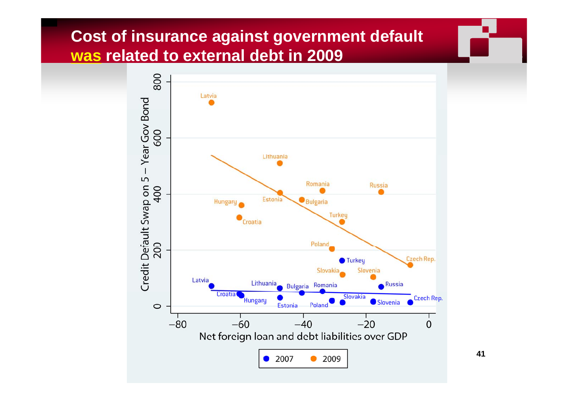#### **Cost of insurance against government default was related to external debt in 2009**



**41**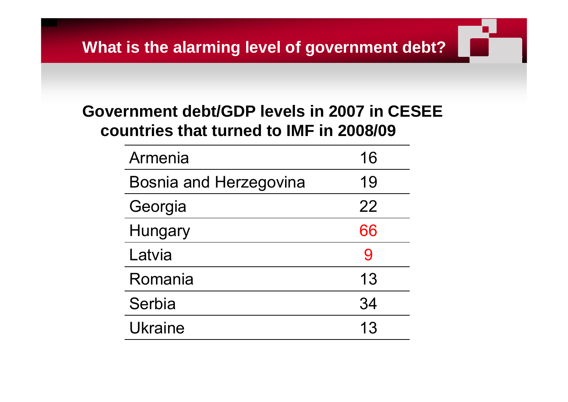#### **Government debt/GDP levels in 2007 in CESEE countries that turned to IMF in 2008/09**

| Armenia                       | 16 |
|-------------------------------|----|
| <b>Bosnia and Herzegovina</b> | 19 |
| Georgia                       | 22 |
| Hungary                       | 66 |
| Latvia                        | 9  |
| Romania                       | 13 |
| Serbia                        | 34 |
| <b>Ukraine</b>                | 13 |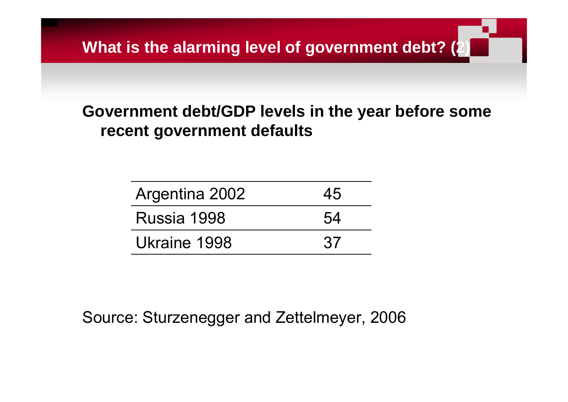#### **Government debt/GDP levels in the year before some the recent government defaults**

| Argentina 2002 | 45  |
|----------------|-----|
| Russia 1998    | .54 |
| Ukraine 1998   | 37  |

Source: Sturzenegger and Zettelmeyer, 2006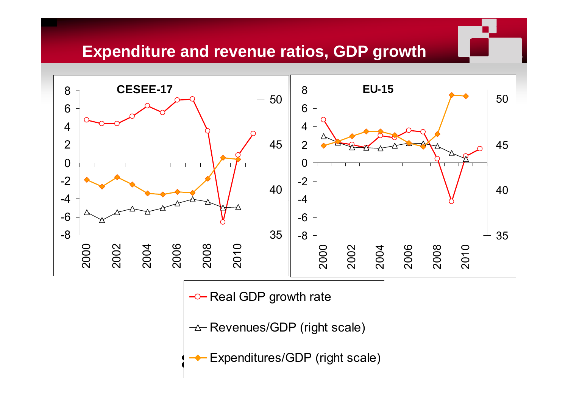#### **Expenditure and revenue ratios, GDP growth**

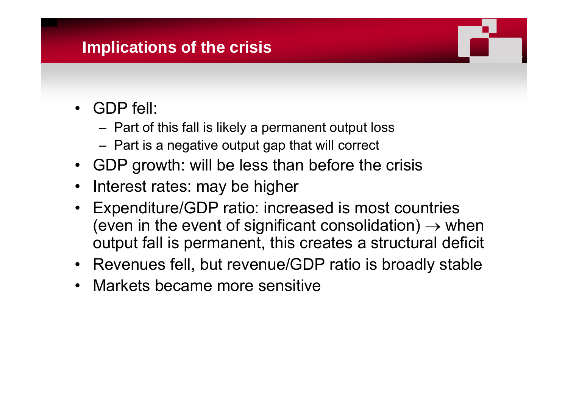#### **Implications of the crisis**

- •GDP fell:
	- Part of this fall is likely a permanent output loss
	- Part is a negative output gap that will correct
- •GDP growth: will be less than before the crisis
- •Interest rates: may be higher
- • Expenditure/GDP ratio: increased is most countries (even in the event of significant consolidation)  $\rightarrow$  when output fall is permanent, this creates a structural deficit
- Revenues fell, but revenue/GDP ratio is broadly stable
- •Markets became more sensitive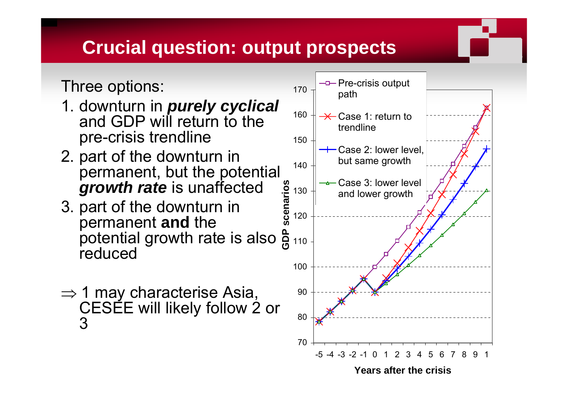# **Crucial question: output prospects**

Three options:

- 1 downturn in *purely cyclical* 1. and GDP will return to the pre-crisis trendline
- 2. part of the downturn in permanent, but the potential **growth rate** is unaffected
- f 3. part o f the downturn in permanent **and** the potential growth rate is also  $\frac{\mathtt{m}}{\mathtt{m}}$   $_{110}$ part of the downturn in<br>permanent **and** the<br>potential growth rate is also a<br>reduced **G**
- $\Rightarrow$  1 may characterise Asia,  $\qquad \, ^{\circ\hspace*{0.5mm} 0}$ CESEE will likely follow 2 or 3 $3<sup>80</sup>$

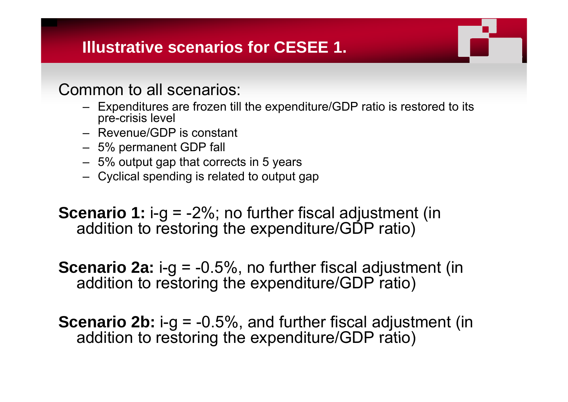#### **Illustrative scenarios for CESEE 1.**

Common to all scenarios:

- Expenditures are frozen till the expenditure/GDP ratio is restored to its pre-crisis level
- Revenue/GDP is constant
- 5% permanent GDP fall
- 5% output gap that corrects in 5 years
- Cyclical spending is related to output gap

**Scenario 1:** i-g = -2%; no further fiscal adjustment (in addition to restoring the expenditure/GDP ratio)

**Scenario 2a:** i-g = -0.5%, no further fiscal adjustment (in addition to restoring the expenditure/GDP ratio)

**Scenario 2b:** i-g = -0.5%, and further fiscal adjustment (in addition to restoring the expenditure/GDP ratio)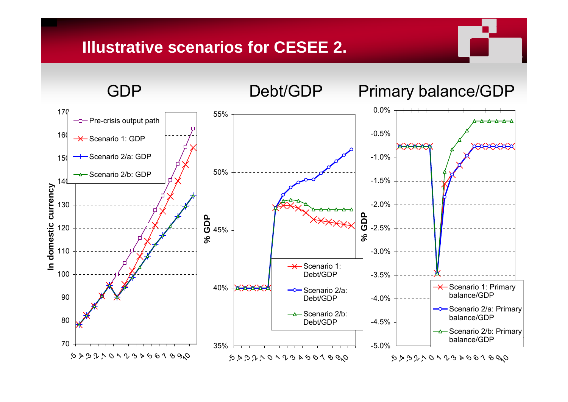#### **Illustrative scenarios for CESEE 2.**

GDP Debt/GDP Primary balance/GDP

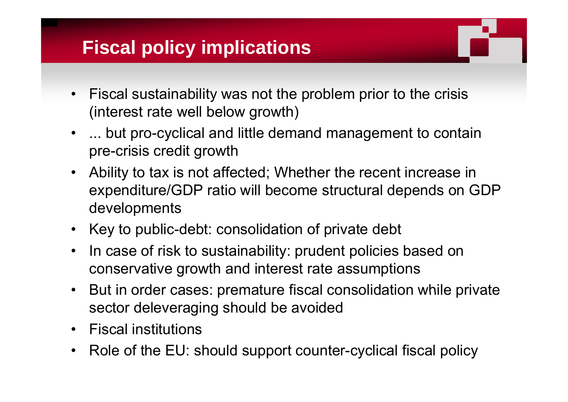# **Fiscal policy implications**

- Fiscal sustainability was not the problem prior to the crisis (interest rate well below growth)
- • ... but pro-cyclical and little demand management to contain pre-crisis credit growth
- Ability to tax is not affected; Whether the recent increase in expenditure/GDP ratio will become structural depends on GDP developments
- Key to public-debt: consolidation of private debt
- $\bullet$ • In case of risk to sustainability: prudent policies based on conservative growth and interest rate assumptions
- •But in order cases: premature fiscal consolidation while private sector deleveraging should be avoided
- Fiscal institutions
- •Role of the EU: should support counter-cyclical fiscal policy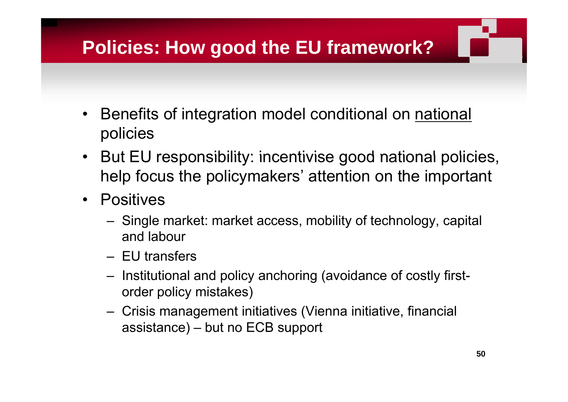# **Policies: How good the EU framework?**

- •• Benefits of integration model conditional on national policies
- But EU responsibility: incentivise good national policies, help focus the policymakers' attention on the important
- Positives
	- Single market: market access, mobility of technology, capital and labour
	- EU transfers
	- Institutional and policy anchoring (avoidance of costly firstorder policy mistakes)
	- Crisis management initiatives (Vienna initiative, financial assistance) – but no ECB support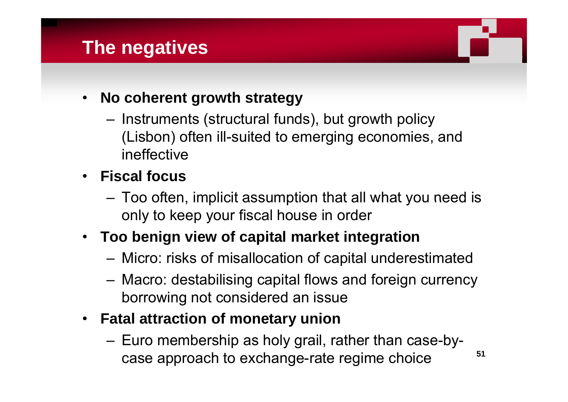# **The negatives**

- • **No coherent growth strategy**
	- Instruments (structural funds), but growth policy (Lisbon) often ill-suited to emerging economies, and ineffective
- **Fiscal focus**
	- $-$  Too often, implicit assumption that all what you need is only to keep your fiscal house in order
- **Too benign view of capital market integration**
	- Micro: risks of misallocation of capital underestimated
	- Macro: destabilising capital flows and foreign currency borrowing not considered an issue
- **Fatal attraction of monetary union**
	- $-$  Euro membership as holy grail, rather than case-bycase approach to exchange-rate regime choice **<sup>51</sup>**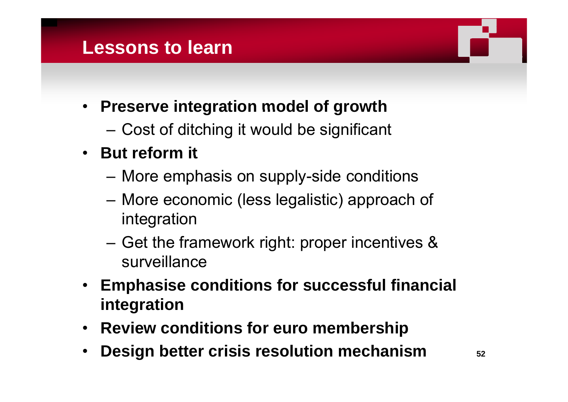#### **Lessons to learn**

- **Preserve integration model of growth**
	- –Cost of ditching it would be significant
- **But reform it**
	- –More emphasis on supply-side conditions
	- –– More economic (less legalistic) approach of integration
	- Get the framework right: proper incentives & surveillance
- **Emphasise conditions for successful financial integration**
- **Review conditions for euro membership**
- •**Design better crisis resolution mechanism**  $52$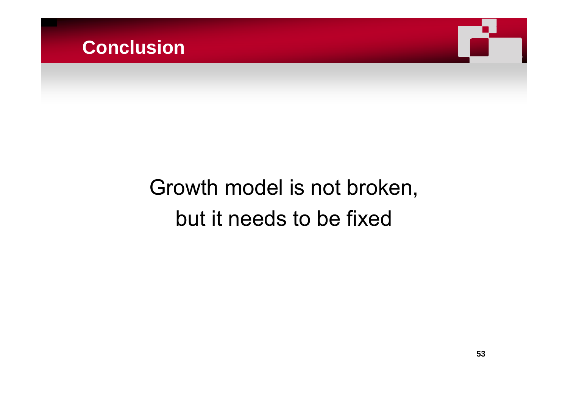

# Growth model is not broken, but it needs to be fixed